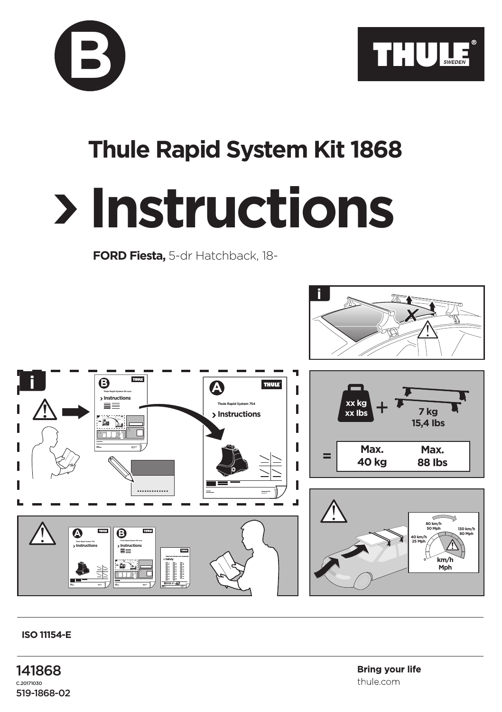



## **Thule Rapid System Kit 1868**

## **Instructions**

**FORD Fiesta,** 5-dr Hatchback, 18-



## **ISO 11154-E**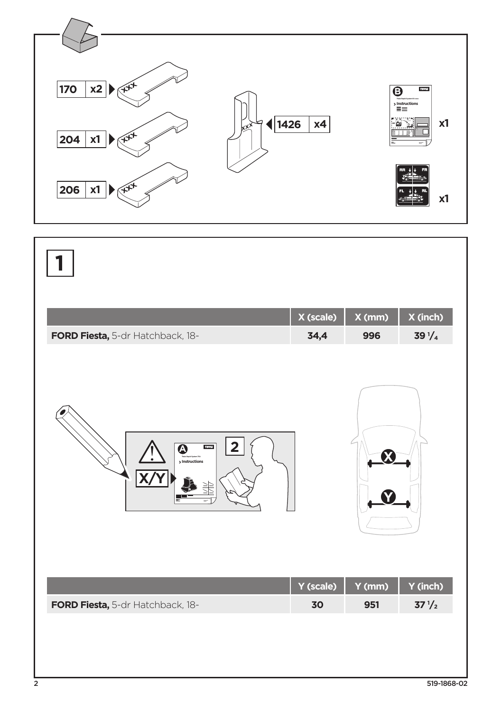

|                                                                  | X (scale) | X (mm) | X (inch)        |
|------------------------------------------------------------------|-----------|--------|-----------------|
| FORD Fiesta, 5-dr Hatchback, 18-                                 | 34,4      | 996    | $39\frac{1}{4}$ |
| 2<br><b>THULE</b><br>$\overline{\mathbf{Q}}$<br>$>$ Instructions |           |        |                 |
|                                                                  | Y (scale) | Y (mm) | Y (inch)        |
| FORD Fiesta, 5-dr Hatchback, 18-                                 | 30        | 951    | $37\frac{1}{2}$ |
|                                                                  |           |        |                 |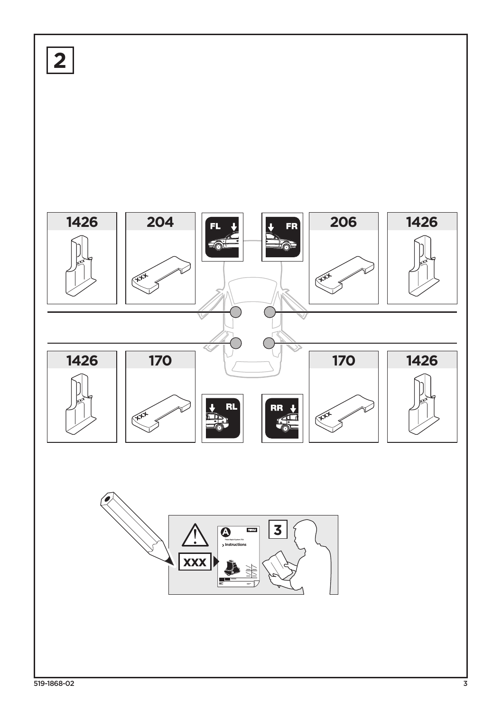